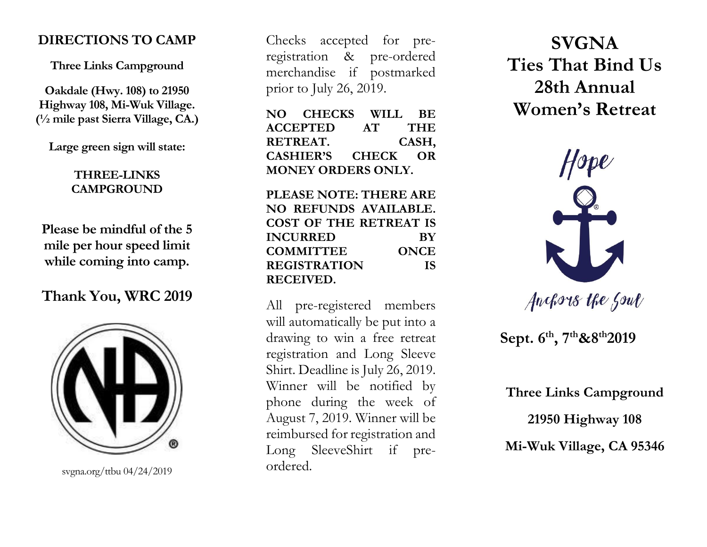# **DIRECTIONS TO CAM P**

**Three Links Campground**

**Oakdale (Hwy. 108) to 21950 Highway 108, Mi -Wuk Village. (½ mile past Sierra Village, CA.)** 

**Large green sign will state:**

**THREE -LINKS CAMPGROUND** 

**Please be mindful of the 5 mile per hour speed limit while coming into camp.**

**Thank You, WRC 201 9**



svgna.org/ttbu 0 4 /24/201 9

Checks accepted for pre registration & pre -ordered merchandise if postmarked prior to July 2 6, 201 9 .

**NO CHECKS WILL BE ACCEPTED AT THE RETREAT. CASH, CASHIER'S CHECK OR MONEY ORDER S ONLY.**

**PLEASE NOTE: THERE ARE NO REFUNDS AVAILABLE. COST OF THE RETREAT IS INCURRED BY COMMITTEE ONCE REGISTRATION IS RECEIVED.**

All pre -registered members will automatically be put into a drawing to win a free retreat registration and Long Sleeve Shirt. Deadline is July 2 6, 201 9. Winner will be notified by phone during the week of August 7, 201 9 . Winner will be reimbursed for registration and Long SleeveShirt if pre ordered.

**SVGN A Ties That Bind Us 28th Annual Women 's Retreat**



Sept.  $6^{th}$ ,  $7^{th}$ & $8^{th}$ 2019

**Three Links Campground 21950 Highway 108 Mi -Wuk Village, CA 95346**